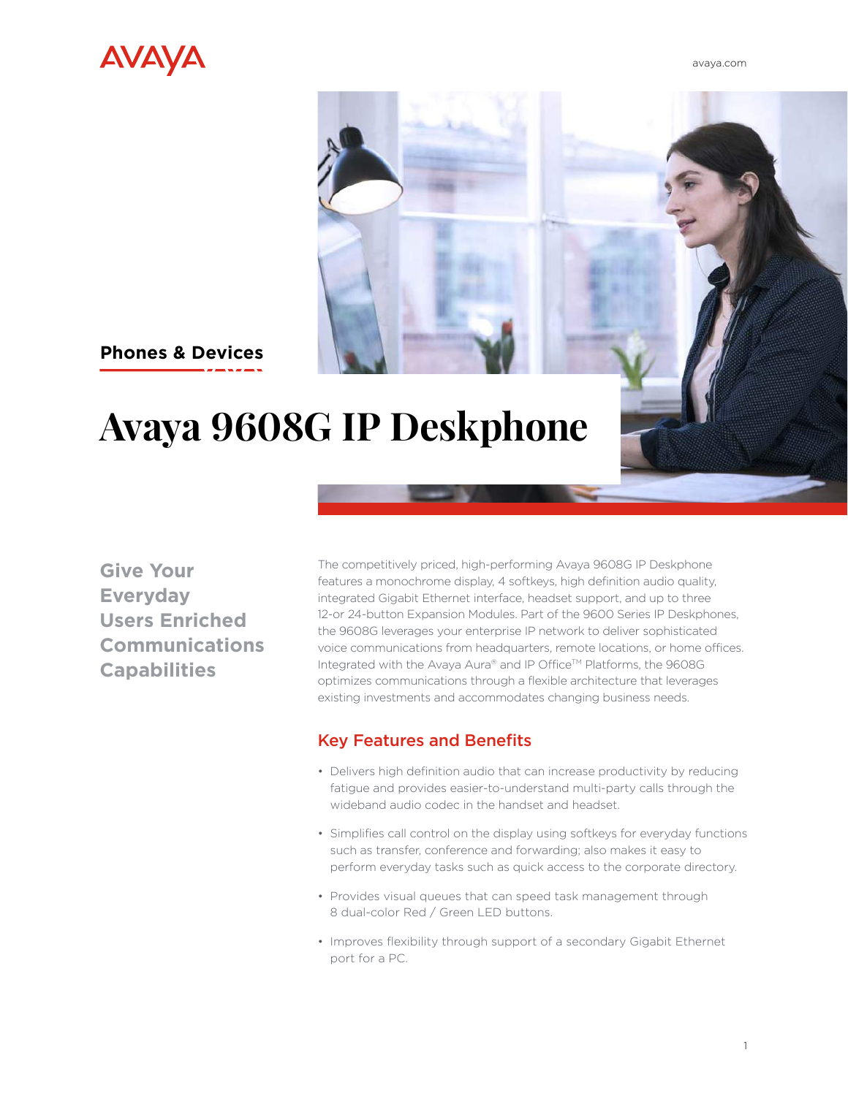

[avaya.com](http://www.avaya.com/en)

## **Phones & Devices**

# **Avaya 9608G IP Deskphone**

**Give Your Everyday Users Enriched Communications Capabilities**

The competitively priced, high-performing Avaya 9608G IP Deskphone features a monochrome display, 4 softkeys, high definition audio quality, integrated Gigabit Ethernet interface, headset support, and up to three 12-or 24-button Expansion Modules. Part of the 9600 Series IP Deskphones, the 9608G leverages your enterprise IP network to deliver sophisticated voice communications from headquarters, remote locations, or home offices. Integrated with the Avaya Aura® and IP Office™ Platforms, the 9608G optimizes communications through a flexible architecture that leverages existing investments and accommodates changing business needs.

#### Key Features and Benefits

- Delivers high definition audio that can increase productivity by reducing fatigue and provides easier-to-understand multi-party calls through the wideband audio codec in the handset and headset.
- Simplifies call control on the display using softkeys for everyday functions such as transfer, conference and forwarding; also makes it easy to perform everyday tasks such as quick access to the corporate directory.
- Provides visual queues that can speed task management through 8 dual-color Red / Green LED buttons.
- Improves flexibility through support of a secondary Gigabit Ethernet port for a PC.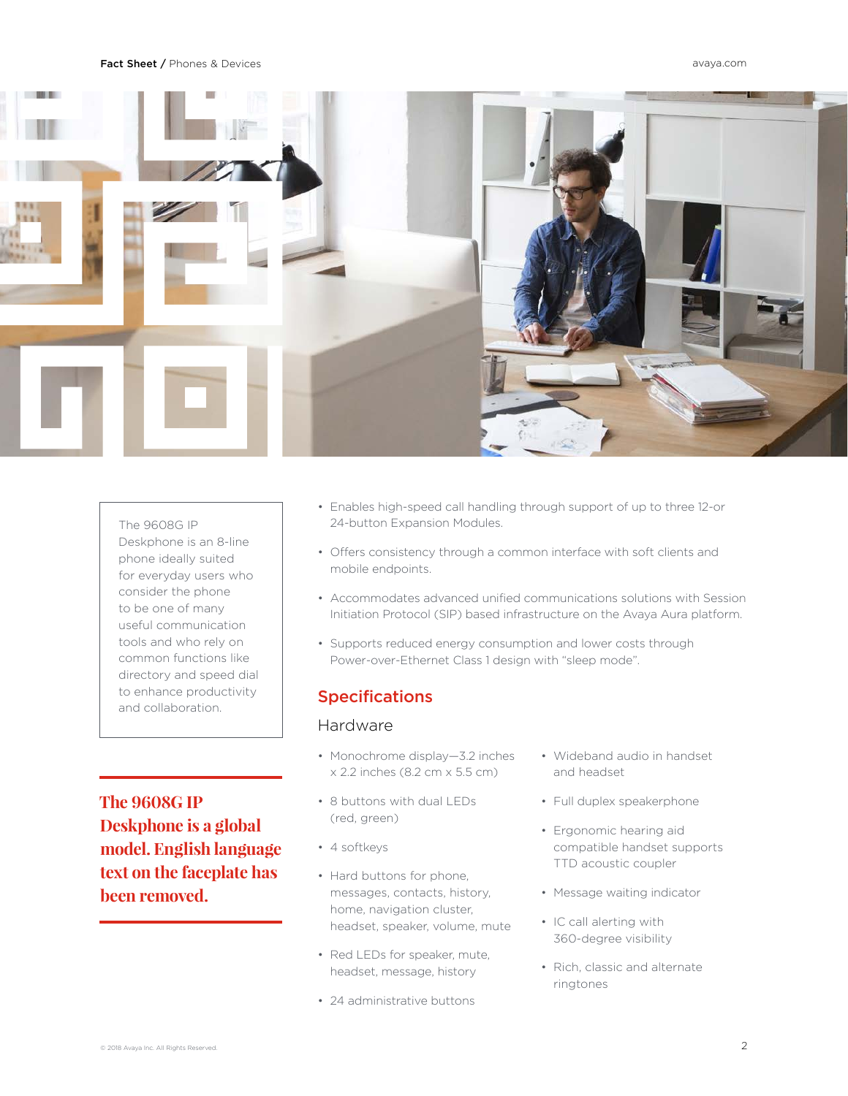#### Fact Sheet / Phones & Devices [avaya.com](http://www.avaya.com/en)



The 9608G IP Deskphone is an 8-line phone ideally suited for everyday users who consider the phone to be one of many useful communication tools and who rely on common functions like directory and speed dial to enhance productivity and collaboration.

**The 9608G IP Deskphone is a global model. English language text on the faceplate has been removed.** 

- Enables high-speed call handling through support of up to three 12-or 24-button Expansion Modules.
- Offers consistency through a common interface with soft clients and mobile endpoints.
- Accommodates advanced unified communications solutions with Session Initiation Protocol (SIP) based infrastructure on the Avaya Aura platform.
- Supports reduced energy consumption and lower costs through Power-over-Ethernet Class 1 design with "sleep mode".

#### Specifications

#### Hardware

- Monochrome display—3.2 inches x 2.2 inches (8.2 cm x 5.5 cm)
- 8 buttons with dual LEDs (red, green)
- 4 softkeys
- Hard buttons for phone, messages, contacts, history, home, navigation cluster, headset, speaker, volume, mute
- Red LEDs for speaker, mute, headset, message, history
- 24 administrative buttons
- Wideband audio in handset and headset
- Full duplex speakerphone
- Ergonomic hearing aid compatible handset supports TTD acoustic coupler
- Message waiting indicator
- IC call alerting with 360-degree visibility
- Rich, classic and alternate ringtones